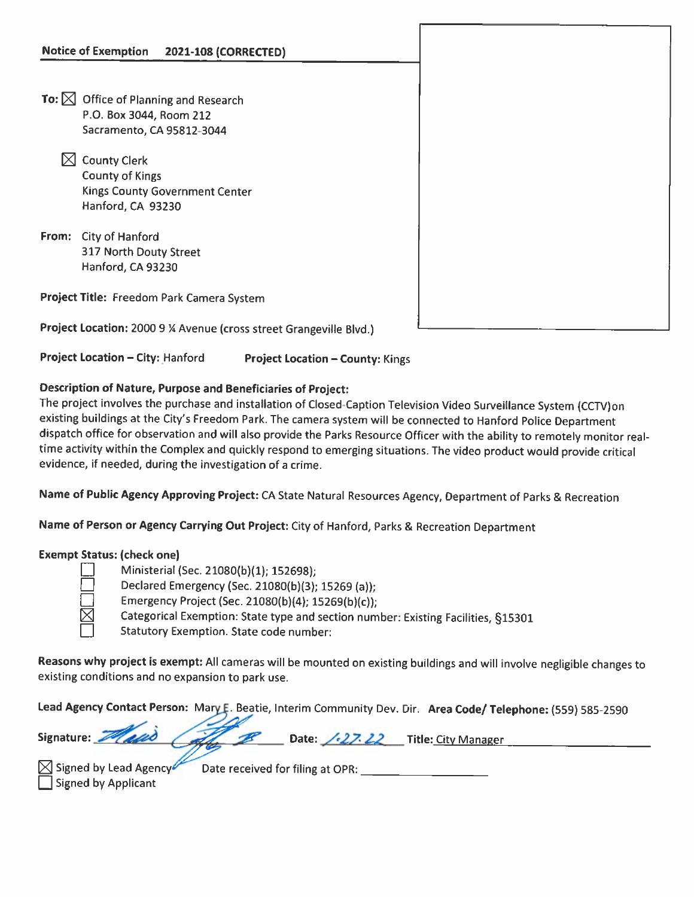- To:  $\boxtimes$  Office of Planning and Research P.O. Box 3044, Room 212 Sacramento, CA 95812-3044
	- $\boxtimes$  County Clerk County of Kings Kings County Government Center Hanford, CA 93230
- From: City of Hanford 317 North Douty Street Hanford, CA 93230

Project Title: Freedom Park Camera System

Project Location: 2000 9 % Avenue (cross street Grangeville Blvd.)

Project Location – City: Hanford Project Location – County: Kings

## Description of Nature, Purpose and Beneficiaries of Project:

The project involves the purchase and installation of Closed-Caption Television Video Surveillance System (CCTV)on existing buildings at the City's Freedom Park. The camera system will be connected to Hanford Police Department dispatch office for observation and will also provide the Parks Resource Officer with the ability to remotely monitor real time activity within the Complex and quickly respond to emerging situations. The video product would provide critical evidence, if needed, during the investigation of <sup>a</sup> crime.

Name of Public Agency Approving Project: CA State Natural Resources Agency, Department of Parks & Recreation

Name of Person or Agency Carrying Out Project: City of Hanford, Parks & Recreation Department

## Exempt Status: (check one)

| ٠      |  |
|--------|--|
|        |  |
| _<br>۰ |  |

Ministerial (Sec. 21080(b)(1); 152698); D Declared Emergency (Sec. 21080(b)(3); <sup>15269</sup> (a)); Emergency Project (Sec. 21080(b)(4); 15269(b)(c)); Categorical Exemption: State type and section number: Existing Facilities, §15301  $\Box$  Statutory Exemption. State code number:

Reasons why project is exempt: All cameras will be mounted on existing buildings and will involve negligible changes to existing conditions and no expansion to park use.

Lead Agency Contact Person: Mary E. Beatie, Interim Community Dev. Dir. Area Code/ Telephone: (559) 585-2590

| Signature: Masis Coffee B | Date: $\sqrt{27.22}$ Title: City Manager |  |  |
|---------------------------|------------------------------------------|--|--|
|                           |                                          |  |  |

|  | $\boxtimes$ Signed by Lead Agency $\blacksquare$ |
|--|--------------------------------------------------|
|  | Signed by Applicant                              |

Signed by Lead Agency Date received for filing at OPR: